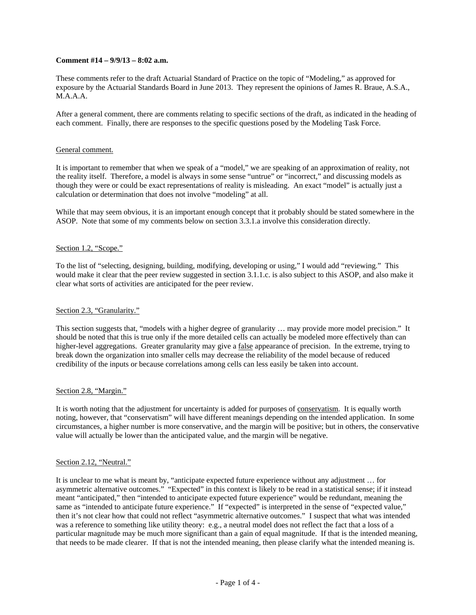## **Comment #14 – 9/9/13 – 8:02 a.m.**

These comments refer to the draft Actuarial Standard of Practice on the topic of "Modeling," as approved for exposure by the Actuarial Standards Board in June 2013. They represent the opinions of James R. Braue, A.S.A., M.A.A.A.

After a general comment, there are comments relating to specific sections of the draft, as indicated in the heading of each comment. Finally, there are responses to the specific questions posed by the Modeling Task Force.

#### General comment.

It is important to remember that when we speak of a "model," we are speaking of an approximation of reality, not the reality itself. Therefore, a model is always in some sense "untrue" or "incorrect," and discussing models as though they were or could be exact representations of reality is misleading. An exact "model" is actually just a calculation or determination that does not involve "modeling" at all.

While that may seem obvious, it is an important enough concept that it probably should be stated somewhere in the ASOP. Note that some of my comments below on section 3.3.1.a involve this consideration directly.

### Section 1.2, "Scope."

To the list of "selecting, designing, building, modifying, developing or using," I would add "reviewing." This would make it clear that the peer review suggested in section 3.1.1.c. is also subject to this ASOP, and also make it clear what sorts of activities are anticipated for the peer review.

#### Section 2.3, "Granularity."

This section suggests that, "models with a higher degree of granularity … may provide more model precision." It should be noted that this is true only if the more detailed cells can actually be modeled more effectively than can higher-level aggregations. Greater granularity may give a false appearance of precision. In the extreme, trying to break down the organization into smaller cells may decrease the reliability of the model because of reduced credibility of the inputs or because correlations among cells can less easily be taken into account.

#### Section 2.8, "Margin."

It is worth noting that the adjustment for uncertainty is added for purposes of conservatism. It is equally worth noting, however, that "conservatism" will have different meanings depending on the intended application. In some circumstances, a higher number is more conservative, and the margin will be positive; but in others, the conservative value will actually be lower than the anticipated value, and the margin will be negative.

### Section 2.12, "Neutral."

It is unclear to me what is meant by, "anticipate expected future experience without any adjustment … for asymmetric alternative outcomes." "Expected" in this context is likely to be read in a statistical sense; if it instead meant "anticipated," then "intended to anticipate expected future experience" would be redundant, meaning the same as "intended to anticipate future experience." If "expected" is interpreted in the sense of "expected value," then it's not clear how that could not reflect "asymmetric alternative outcomes." I suspect that what was intended was a reference to something like utility theory: e.g., a neutral model does not reflect the fact that a loss of a particular magnitude may be much more significant than a gain of equal magnitude. If that is the intended meaning, that needs to be made clearer. If that is not the intended meaning, then please clarify what the intended meaning is.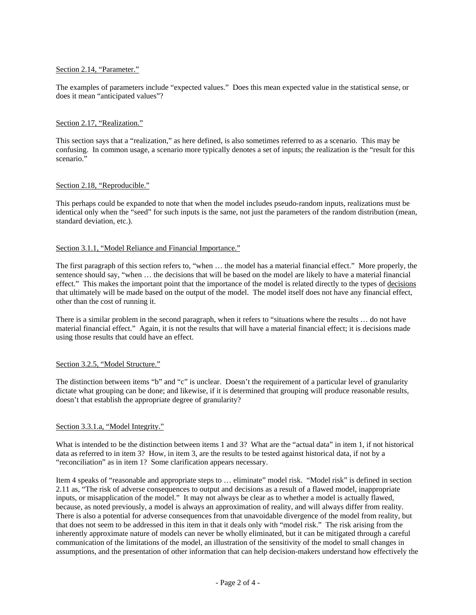## Section 2.14, "Parameter."

The examples of parameters include "expected values." Does this mean expected value in the statistical sense, or does it mean "anticipated values"?

## Section 2.17, "Realization."

This section says that a "realization," as here defined, is also sometimes referred to as a scenario. This may be confusing. In common usage, a scenario more typically denotes a set of inputs; the realization is the "result for this scenario."

## Section 2.18, "Reproducible."

This perhaps could be expanded to note that when the model includes pseudo-random inputs, realizations must be identical only when the "seed" for such inputs is the same, not just the parameters of the random distribution (mean, standard deviation, etc.).

## Section 3.1.1, "Model Reliance and Financial Importance."

The first paragraph of this section refers to, "when … the model has a material financial effect." More properly, the sentence should say, "when … the decisions that will be based on the model are likely to have a material financial effect." This makes the important point that the importance of the model is related directly to the types of decisions that ultimately will be made based on the output of the model. The model itself does not have any financial effect, other than the cost of running it.

There is a similar problem in the second paragraph, when it refers to "situations where the results … do not have material financial effect." Again, it is not the results that will have a material financial effect; it is decisions made using those results that could have an effect.

#### Section 3.2.5, "Model Structure."

The distinction between items "b" and "c" is unclear. Doesn't the requirement of a particular level of granularity dictate what grouping can be done; and likewise, if it is determined that grouping will produce reasonable results, doesn't that establish the appropriate degree of granularity?

#### Section 3.3.1.a, "Model Integrity."

What is intended to be the distinction between items 1 and 3? What are the "actual data" in item 1, if not historical data as referred to in item 3? How, in item 3, are the results to be tested against historical data, if not by a "reconciliation" as in item 1? Some clarification appears necessary.

Item 4 speaks of "reasonable and appropriate steps to … eliminate" model risk. "Model risk" is defined in section 2.11 as, "The risk of adverse consequences to output and decisions as a result of a flawed model, inappropriate inputs, or misapplication of the model." It may not always be clear as to whether a model is actually flawed, because, as noted previously, a model is always an approximation of reality, and will always differ from reality. There is also a potential for adverse consequences from that unavoidable divergence of the model from reality, but that does not seem to be addressed in this item in that it deals only with "model risk." The risk arising from the inherently approximate nature of models can never be wholly eliminated, but it can be mitigated through a careful communication of the limitations of the model, an illustration of the sensitivity of the model to small changes in assumptions, and the presentation of other information that can help decision-makers understand how effectively the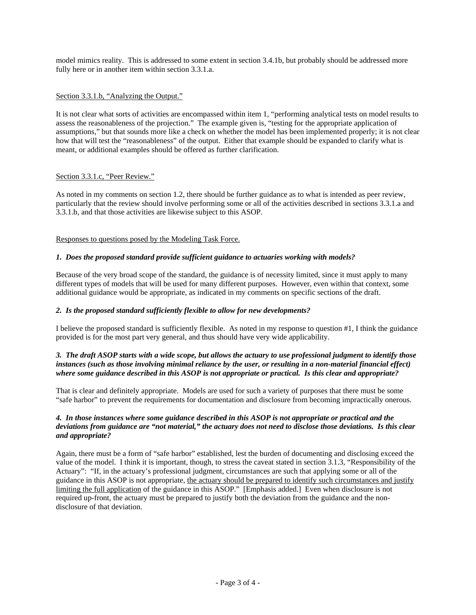model mimics reality. This is addressed to some extent in section 3.4.1b, but probably should be addressed more fully here or in another item within section 3.3.1.a.

## Section 3.3.1.b, "Analyzing the Output."

It is not clear what sorts of activities are encompassed within item 1, "performing analytical tests on model results to assess the reasonableness of the projection." The example given is, "testing for the appropriate application of assumptions," but that sounds more like a check on whether the model has been implemented properly; it is not clear how that will test the "reasonableness" of the output. Either that example should be expanded to clarify what is meant, or additional examples should be offered as further clarification.

## Section 3.3.1.c, "Peer Review."

As noted in my comments on section 1.2, there should be further guidance as to what is intended as peer review, particularly that the review should involve performing some or all of the activities described in sections 3.3.1.a and 3.3.1.b, and that those activities are likewise subject to this ASOP.

## Responses to questions posed by the Modeling Task Force.

## *1. Does the proposed standard provide sufficient guidance to actuaries working with models?*

Because of the very broad scope of the standard, the guidance is of necessity limited, since it must apply to many different types of models that will be used for many different purposes. However, even within that context, some additional guidance would be appropriate, as indicated in my comments on specific sections of the draft.

### *2. Is the proposed standard sufficiently flexible to allow for new developments?*

I believe the proposed standard is sufficiently flexible. As noted in my response to question #1, I think the guidance provided is for the most part very general, and thus should have very wide applicability.

# *3. The draft ASOP starts with a wide scope, but allows the actuary to use professional judgment to identify those instances (such as those involving minimal reliance by the user, or resulting in a non-material financial effect) where some guidance described in this ASOP is not appropriate or practical. Is this clear and appropriate?*

That is clear and definitely appropriate. Models are used for such a variety of purposes that there must be some "safe harbor" to prevent the requirements for documentation and disclosure from becoming impractically onerous.

## *4. In those instances where some guidance described in this ASOP is not appropriate or practical and the deviations from guidance are "not material," the actuary does not need to disclose those deviations. Is this clear and appropriate?*

Again, there must be a form of "safe harbor" established, lest the burden of documenting and disclosing exceed the value of the model. I think it is important, though, to stress the caveat stated in section 3.1.3, "Responsibility of the Actuary": "If, in the actuary's professional judgment, circumstances are such that applying some or all of the guidance in this ASOP is not appropriate, the actuary should be prepared to identify such circumstances and justify limiting the full application of the guidance in this ASOP." [Emphasis added.] Even when disclosure is not required up-front, the actuary must be prepared to justify both the deviation from the guidance and the nondisclosure of that deviation.